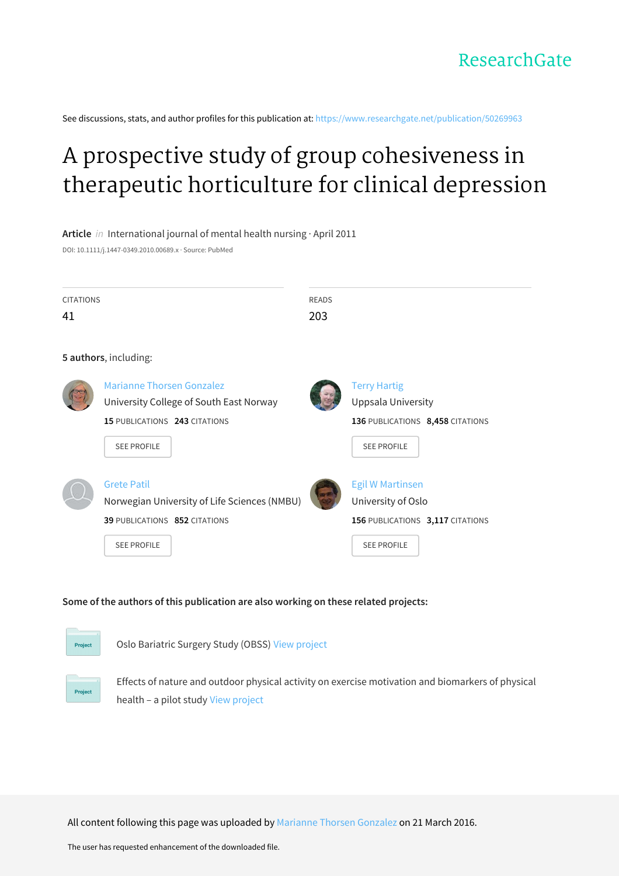See discussions, stats, and author profiles for this publication at: [https://www.researchgate.net/publication/50269963](https://www.researchgate.net/publication/50269963_A_prospective_study_of_group_cohesiveness_in_therapeutic_horticulture_for_clinical_depression?enrichId=rgreq-ed4d3722b423388fb6230e44e249feeb-XXX&enrichSource=Y292ZXJQYWdlOzUwMjY5OTYzO0FTOjM0MTk4NzIwODI1MzQ0MUAxNDU4NTQ3NTEyNDQ3&el=1_x_2&_esc=publicationCoverPdf)

# A prospective study of group [cohesiveness](https://www.researchgate.net/publication/50269963_A_prospective_study_of_group_cohesiveness_in_therapeutic_horticulture_for_clinical_depression?enrichId=rgreq-ed4d3722b423388fb6230e44e249feeb-XXX&enrichSource=Y292ZXJQYWdlOzUwMjY5OTYzO0FTOjM0MTk4NzIwODI1MzQ0MUAxNDU4NTQ3NTEyNDQ3&el=1_x_3&_esc=publicationCoverPdf) in therapeutic horticulture for clinical depression

## **Article** in International journal of mental health nursing · April 2011

DOI: 10.1111/j.1447-0349.2010.00689.x · Source: PubMed



## **Some of the authors of this publication are also working on these related projects:**



Oslo Bariatric Surgery Study (OBSS) View [project](https://www.researchgate.net/project/Oslo-Bariatric-Surgery-Study-OBSS?enrichId=rgreq-ed4d3722b423388fb6230e44e249feeb-XXX&enrichSource=Y292ZXJQYWdlOzUwMjY5OTYzO0FTOjM0MTk4NzIwODI1MzQ0MUAxNDU4NTQ3NTEyNDQ3&el=1_x_9&_esc=publicationCoverPdf)



Effects of nature and outdoor physical activity on exercise motivation and biomarkers of physical health – a pilot study View [project](https://www.researchgate.net/project/Effects-of-nature-and-outdoor-physical-activity-on-exercise-motivation-and-biomarkers-of-physical-health-a-pilot-study?enrichId=rgreq-ed4d3722b423388fb6230e44e249feeb-XXX&enrichSource=Y292ZXJQYWdlOzUwMjY5OTYzO0FTOjM0MTk4NzIwODI1MzQ0MUAxNDU4NTQ3NTEyNDQ3&el=1_x_9&_esc=publicationCoverPdf)

All content following this page was uploaded by [Marianne](https://www.researchgate.net/profile/Marianne_Gonzalez?enrichId=rgreq-ed4d3722b423388fb6230e44e249feeb-XXX&enrichSource=Y292ZXJQYWdlOzUwMjY5OTYzO0FTOjM0MTk4NzIwODI1MzQ0MUAxNDU4NTQ3NTEyNDQ3&el=1_x_10&_esc=publicationCoverPdf) Thorsen Gonzalez on 21 March 2016.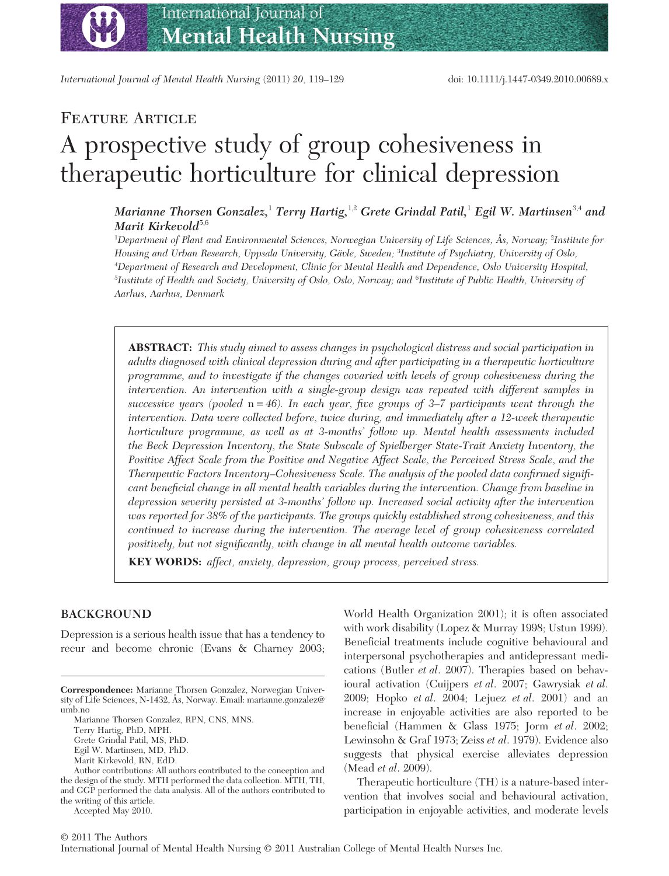*International Journal of Mental Health Nursing* (2011) *20*, 119–129 doi: 10.1111/j.1447-0349.2010.00689.x

## FEATURE ARTICLE

## A prospective study of group cohesiveness in therapeutic horticulture for clinical depression

*Marianne Thorsen Gonzalez,*<sup>1</sup> *Terry Hartig,*1,2 *Grete Grindal Patil,*<sup>1</sup> *Egil W. Martinsen*3,4 *and Marit Kirkevold*5,6

1 *Department of Plant and Environmental Sciences, Norwegian University of Life Sciences, Ås, Norway;* <sup>2</sup> *Institute for Housing and Urban Research, Uppsala University, Gävle, Sweden;* <sup>3</sup> *Institute of Psychiatry, University of Oslo,* 4 *Department of Research and Development, Clinic for Mental Health and Dependence, Oslo University Hospital,* 5 *Institute of Health and Society, University of Oslo, Oslo, Norway; and* <sup>6</sup> *Institute of Public Health, University of Aarhus, Aarhus, Denmark*

**ABSTRACT:** *This study aimed to assess changes in psychological distress and social participation in adults diagnosed with clinical depression during and after participating in a therapeutic horticulture programme, and to investigate if the changes covaried with levels of group cohesiveness during the intervention. An intervention with a single-group design was repeated with different samples in successive years (pooled n* = 46). In each year, five groups of 3–7 participants went through the *intervention. Data were collected before, twice during, and immediately after a 12-week therapeutic horticulture programme, as well as at 3-months' follow up. Mental health assessments included the Beck Depression Inventory, the State Subscale of Spielberger State-Trait Anxiety Inventory, the Positive Affect Scale from the Positive and Negative Affect Scale, the Perceived Stress Scale, and the Therapeutic Factors Inventory–Cohesiveness Scale. The analysis of the pooled data confirmed significant beneficial change in all mental health variables during the intervention. Change from baseline in depression severity persisted at 3-months' follow up. Increased social activity after the intervention was reported for 38% of the participants. The groups quickly established strong cohesiveness, and this continued to increase during the intervention. The average level of group cohesiveness correlated positively, but not significantly, with change in all mental health outcome variables.*

**KEY WORDS:** *affect, anxiety, depression, group process, perceived stress.*

## **BACKGROUND**

Depression is a serious health issue that has a tendency to recur and become chronic (Evans & Charney 2003;

Accepted May 2010.

World Health Organization 2001); it is often associated with work disability (Lopez & Murray 1998; Ustun 1999). Beneficial treatments include cognitive behavioural and interpersonal psychotherapies and antidepressant medications (Butler *et al*. 2007). Therapies based on behavioural activation (Cuijpers *et al*. 2007; Gawrysiak *et al*. 2009; Hopko *et al*. 2004; Lejuez *et al*. 2001) and an increase in enjoyable activities are also reported to be beneficial (Hammen & Glass 1975; Jorm *et al*. 2002; Lewinsohn & Graf 1973; Zeiss *et al*. 1979). Evidence also suggests that physical exercise alleviates depression (Mead *et al*. 2009).

Therapeutic horticulture (TH) is a nature-based intervention that involves social and behavioural activation, participation in enjoyable activities, and moderate levels

**Correspondence:** Marianne Thorsen Gonzalez, Norwegian University of Life Sciences, N-1432, Ås, Norway. Email: marianne.gonzalez@ umb.no

Marianne Thorsen Gonzalez, RPN, CNS, MNS. Terry Hartig, PhD, MPH. Grete Grindal Patil, MS, PhD. Egil W. Martinsen, MD, PhD. Marit Kirkevold, RN, EdD.

Author contributions: All authors contributed to the conception and the design of the study. MTH performed the data collection. MTH, TH, and GGP performed the data analysis. All of the authors contributed to the writing of this article.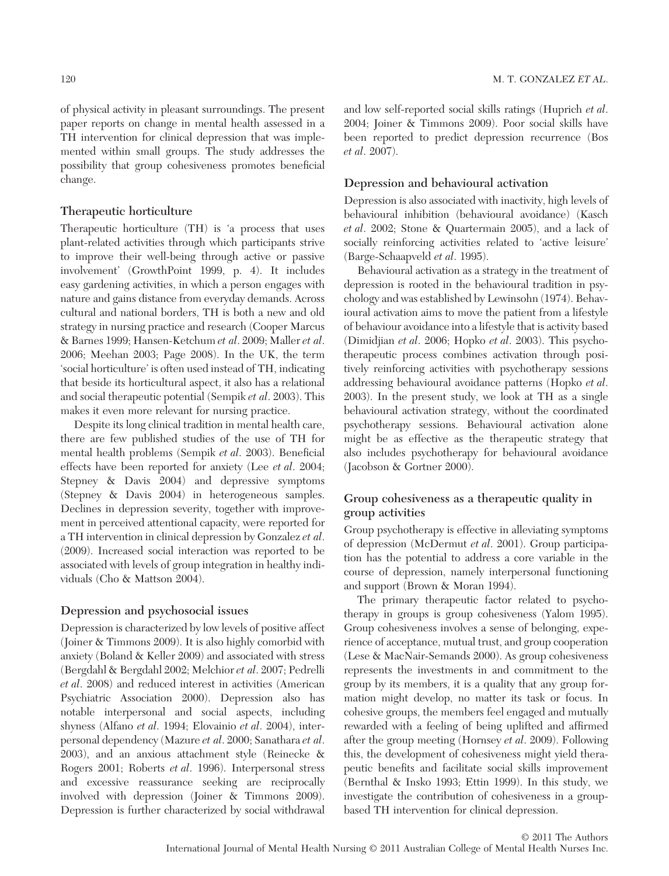of physical activity in pleasant surroundings. The present paper reports on change in mental health assessed in a TH intervention for clinical depression that was implemented within small groups. The study addresses the possibility that group cohesiveness promotes beneficial change.

#### **Therapeutic horticulture**

Therapeutic horticulture (TH) is 'a process that uses plant-related activities through which participants strive to improve their well-being through active or passive involvement' (GrowthPoint 1999, p. 4). It includes easy gardening activities, in which a person engages with nature and gains distance from everyday demands. Across cultural and national borders, TH is both a new and old strategy in nursing practice and research (Cooper Marcus & Barnes 1999; Hansen-Ketchum *et al*. 2009; Maller *et al*. 2006; Meehan 2003; Page 2008). In the UK, the term 'social horticulture' is often used instead of TH, indicating that beside its horticultural aspect, it also has a relational and social therapeutic potential (Sempik *et al*. 2003). This makes it even more relevant for nursing practice.

Despite its long clinical tradition in mental health care, there are few published studies of the use of TH for mental health problems (Sempik *et al*. 2003). Beneficial effects have been reported for anxiety (Lee *et al*. 2004; Stepney & Davis 2004) and depressive symptoms (Stepney & Davis 2004) in heterogeneous samples. Declines in depression severity, together with improvement in perceived attentional capacity, were reported for a TH intervention in clinical depression by Gonzalez *et al*. (2009). Increased social interaction was reported to be associated with levels of group integration in healthy individuals (Cho & Mattson 2004).

## **Depression and psychosocial issues**

Depression is characterized by low levels of positive affect (Joiner & Timmons 2009). It is also highly comorbid with anxiety (Boland & Keller 2009) and associated with stress (Bergdahl & Bergdahl 2002; Melchior *et al*. 2007; Pedrelli *et al*. 2008) and reduced interest in activities (American Psychiatric Association 2000). Depression also has notable interpersonal and social aspects, including shyness (Alfano *et al*. 1994; Elovainio *et al*. 2004), interpersonal dependency (Mazure *et al*. 2000; Sanathara *et al*. 2003), and an anxious attachment style (Reinecke & Rogers 2001; Roberts *et al*. 1996). Interpersonal stress and excessive reassurance seeking are reciprocally involved with depression (Joiner & Timmons 2009). Depression is further characterized by social withdrawal and low self-reported social skills ratings (Huprich *et al*. 2004; Joiner & Timmons 2009). Poor social skills have been reported to predict depression recurrence (Bos *et al*. 2007).

#### **Depression and behavioural activation**

Depression is also associated with inactivity, high levels of behavioural inhibition (behavioural avoidance) (Kasch *et al*. 2002; Stone & Quartermain 2005), and a lack of socially reinforcing activities related to 'active leisure' (Barge-Schaapveld *et al*. 1995).

Behavioural activation as a strategy in the treatment of depression is rooted in the behavioural tradition in psychology and was established by Lewinsohn (1974). Behavioural activation aims to move the patient from a lifestyle of behaviour avoidance into a lifestyle that is activity based (Dimidjian *et al*. 2006; Hopko *et al*. 2003). This psychotherapeutic process combines activation through positively reinforcing activities with psychotherapy sessions addressing behavioural avoidance patterns (Hopko *et al*. 2003). In the present study, we look at TH as a single behavioural activation strategy, without the coordinated psychotherapy sessions. Behavioural activation alone might be as effective as the therapeutic strategy that also includes psychotherapy for behavioural avoidance (Jacobson & Gortner 2000).

## **Group cohesiveness as a therapeutic quality in group activities**

Group psychotherapy is effective in alleviating symptoms of depression (McDermut *et al*. 2001). Group participation has the potential to address a core variable in the course of depression, namely interpersonal functioning and support (Brown & Moran 1994).

The primary therapeutic factor related to psychotherapy in groups is group cohesiveness (Yalom 1995). Group cohesiveness involves a sense of belonging, experience of acceptance, mutual trust, and group cooperation (Lese & MacNair-Semands 2000). As group cohesiveness represents the investments in and commitment to the group by its members, it is a quality that any group formation might develop, no matter its task or focus. In cohesive groups, the members feel engaged and mutually rewarded with a feeling of being uplifted and affirmed after the group meeting (Hornsey *et al*. 2009). Following this, the development of cohesiveness might yield therapeutic benefits and facilitate social skills improvement (Bernthal & Insko 1993; Ettin 1999). In this study, we investigate the contribution of cohesiveness in a groupbased TH intervention for clinical depression.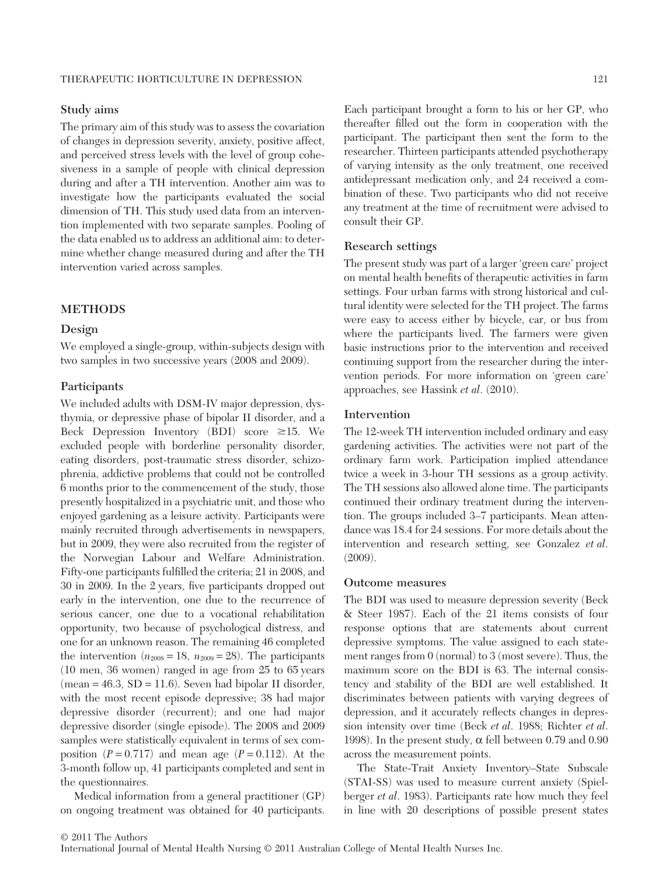#### **Study aims**

The primary aim of this study was to assess the covariation of changes in depression severity, anxiety, positive affect, and perceived stress levels with the level of group cohesiveness in a sample of people with clinical depression during and after a TH intervention. Another aim was to investigate how the participants evaluated the social dimension of TH. This study used data from an intervention implemented with two separate samples. Pooling of the data enabled us to address an additional aim: to determine whether change measured during and after the TH intervention varied across samples.

#### **METHODS**

## **Design**

We employed a single-group, within-subjects design with two samples in two successive years (2008 and 2009).

#### **Participants**

We included adults with DSM-IV major depression, dysthymia, or depressive phase of bipolar II disorder, and a Beck Depression Inventory (BDI) score  $\geq$ 15. We excluded people with borderline personality disorder, eating disorders, post-traumatic stress disorder, schizophrenia, addictive problems that could not be controlled 6 months prior to the commencement of the study, those presently hospitalized in a psychiatric unit, and those who enjoyed gardening as a leisure activity. Participants were mainly recruited through advertisements in newspapers, but in 2009, they were also recruited from the register of the Norwegian Labour and Welfare Administration. Fifty-one participants fulfilled the criteria; 21 in 2008, and 30 in 2009. In the 2 years, five participants dropped out early in the intervention, one due to the recurrence of serious cancer, one due to a vocational rehabilitation opportunity, two because of psychological distress, and one for an unknown reason. The remaining 46 completed the intervention  $(n_{2008} = 18, n_{2009} = 28)$ . The participants (10 men, 36 women) ranged in age from 25 to 65 years  $(mean = 46.3, SD = 11.6)$ . Seven had bipolar II disorder, with the most recent episode depressive; 38 had major depressive disorder (recurrent); and one had major depressive disorder (single episode). The 2008 and 2009 samples were statistically equivalent in terms of sex composition  $(P = 0.717)$  and mean age  $(P = 0.112)$ . At the 3-month follow up, 41 participants completed and sent in the questionnaires.

Medical information from a general practitioner (GP) on ongoing treatment was obtained for 40 participants.

Each participant brought a form to his or her GP, who thereafter filled out the form in cooperation with the participant. The participant then sent the form to the researcher. Thirteen participants attended psychotherapy of varying intensity as the only treatment, one received antidepressant medication only, and 24 received a combination of these. Two participants who did not receive any treatment at the time of recruitment were advised to consult their GP.

#### **Research settings**

The present study was part of a larger 'green care' project on mental health benefits of therapeutic activities in farm settings. Four urban farms with strong historical and cultural identity were selected for the TH project. The farms were easy to access either by bicycle, car, or bus from where the participants lived. The farmers were given basic instructions prior to the intervention and received continuing support from the researcher during the intervention periods. For more information on 'green care' approaches, see Hassink *et al*. (2010).

## **Intervention**

The 12-week TH intervention included ordinary and easy gardening activities. The activities were not part of the ordinary farm work. Participation implied attendance twice a week in 3-hour TH sessions as a group activity. The TH sessions also allowed alone time. The participants continued their ordinary treatment during the intervention. The groups included 3–7 participants. Mean attendance was 18.4 for 24 sessions. For more details about the intervention and research setting, see Gonzalez *et al*. (2009).

#### **Outcome measures**

The BDI was used to measure depression severity (Beck & Steer 1987). Each of the 21 items consists of four response options that are statements about current depressive symptoms. The value assigned to each statement ranges from 0 (normal) to 3 (most severe). Thus, the maximum score on the BDI is 63. The internal consistency and stability of the BDI are well established. It discriminates between patients with varying degrees of depression, and it accurately reflects changes in depression intensity over time (Beck *et al*. 1988; Richter *et al*. 1998). In the present study,  $\alpha$  fell between 0.79 and 0.90 across the measurement points.

The State-Trait Anxiety Inventory–State Subscale (STAI-SS) was used to measure current anxiety (Spielberger *et al*. 1983). Participants rate how much they feel in line with 20 descriptions of possible present states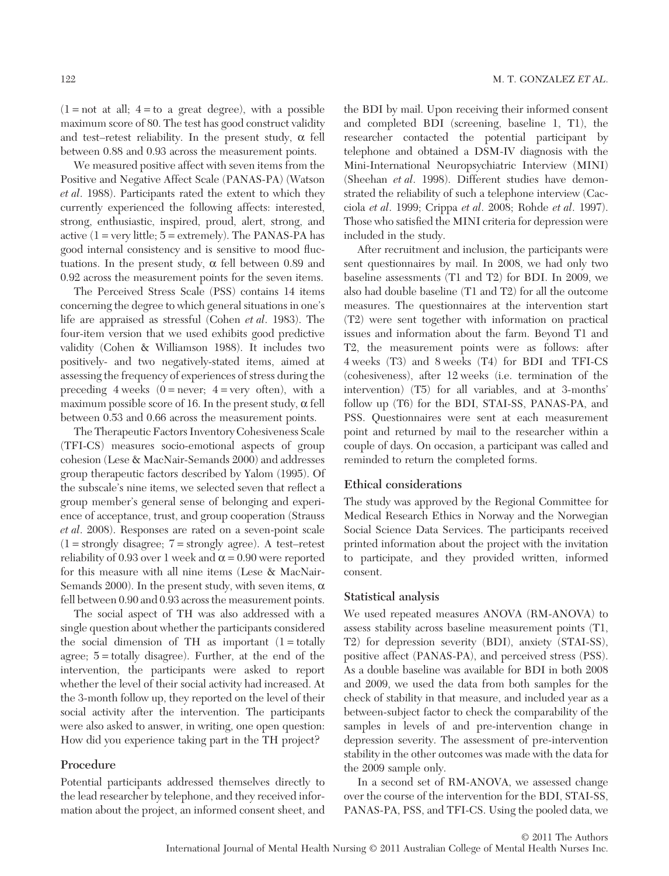$(1 = not at all; 4 = to a great degree)$ , with a possible maximum score of 80. The test has good construct validity and test–retest reliability. In the present study,  $\alpha$  fell between 0.88 and 0.93 across the measurement points.

We measured positive affect with seven items from the Positive and Negative Affect Scale (PANAS-PA) (Watson *et al*. 1988). Participants rated the extent to which they currently experienced the following affects: interested, strong, enthusiastic, inspired, proud, alert, strong, and active  $(1 = \text{very little}; 5 = \text{extremely})$ . The PANAS-PA has good internal consistency and is sensitive to mood fluctuations. In the present study,  $\alpha$  fell between 0.89 and 0.92 across the measurement points for the seven items.

The Perceived Stress Scale (PSS) contains 14 items concerning the degree to which general situations in one's life are appraised as stressful (Cohen *et al*. 1983). The four-item version that we used exhibits good predictive validity (Cohen & Williamson 1988). It includes two positively- and two negatively-stated items, aimed at assessing the frequency of experiences of stress during the preceding 4 weeks  $(0 =$  never;  $4 =$  very often), with a maximum possible score of 16. In the present study,  $\alpha$  fell between 0.53 and 0.66 across the measurement points.

The Therapeutic Factors Inventory Cohesiveness Scale (TFI-CS) measures socio-emotional aspects of group cohesion (Lese & MacNair-Semands 2000) and addresses group therapeutic factors described by Yalom (1995). Of the subscale's nine items, we selected seven that reflect a group member's general sense of belonging and experience of acceptance, trust, and group cooperation (Strauss *et al*. 2008). Responses are rated on a seven-point scale  $(1 = \text{strongly disagree}; 7 = \text{strongly agree}).$  A test–retest reliability of 0.93 over 1 week and  $\alpha = 0.90$  were reported for this measure with all nine items (Lese & MacNair-Semands 2000). In the present study, with seven items,  $\alpha$ fell between 0.90 and 0.93 across the measurement points.

The social aspect of TH was also addressed with a single question about whether the participants considered the social dimension of  $TH$  as important  $(1 = totally$ agree; 5 = totally disagree). Further, at the end of the intervention, the participants were asked to report whether the level of their social activity had increased. At the 3-month follow up, they reported on the level of their social activity after the intervention. The participants were also asked to answer, in writing, one open question: How did you experience taking part in the TH project?

#### **Procedure**

Potential participants addressed themselves directly to the lead researcher by telephone, and they received information about the project, an informed consent sheet, and the BDI by mail. Upon receiving their informed consent and completed BDI (screening, baseline 1, T1), the researcher contacted the potential participant by telephone and obtained a DSM-IV diagnosis with the Mini-International Neuropsychiatric Interview (MINI) (Sheehan *et al*. 1998). Different studies have demonstrated the reliability of such a telephone interview (Cacciola *et al*. 1999; Crippa *et al*. 2008; Rohde *et al*. 1997). Those who satisfied the MINI criteria for depression were included in the study.

After recruitment and inclusion, the participants were sent questionnaires by mail. In 2008, we had only two baseline assessments (T1 and T2) for BDI. In 2009, we also had double baseline (T1 and T2) for all the outcome measures. The questionnaires at the intervention start (T2) were sent together with information on practical issues and information about the farm. Beyond T1 and T2, the measurement points were as follows: after 4 weeks (T3) and 8 weeks (T4) for BDI and TFI-CS (cohesiveness), after 12 weeks (i.e. termination of the intervention) (T5) for all variables, and at 3-months' follow up (T6) for the BDI, STAI-SS, PANAS-PA, and PSS. Questionnaires were sent at each measurement point and returned by mail to the researcher within a couple of days. On occasion, a participant was called and reminded to return the completed forms.

#### **Ethical considerations**

The study was approved by the Regional Committee for Medical Research Ethics in Norway and the Norwegian Social Science Data Services. The participants received printed information about the project with the invitation to participate, and they provided written, informed consent.

#### **Statistical analysis**

We used repeated measures ANOVA (RM-ANOVA) to assess stability across baseline measurement points (T1, T2) for depression severity (BDI), anxiety (STAI-SS), positive affect (PANAS-PA), and perceived stress (PSS). As a double baseline was available for BDI in both 2008 and 2009, we used the data from both samples for the check of stability in that measure, and included year as a between-subject factor to check the comparability of the samples in levels of and pre-intervention change in depression severity. The assessment of pre-intervention stability in the other outcomes was made with the data for the 2009 sample only.

In a second set of RM-ANOVA, we assessed change over the course of the intervention for the BDI, STAI-SS, PANAS-PA, PSS, and TFI-CS. Using the pooled data, we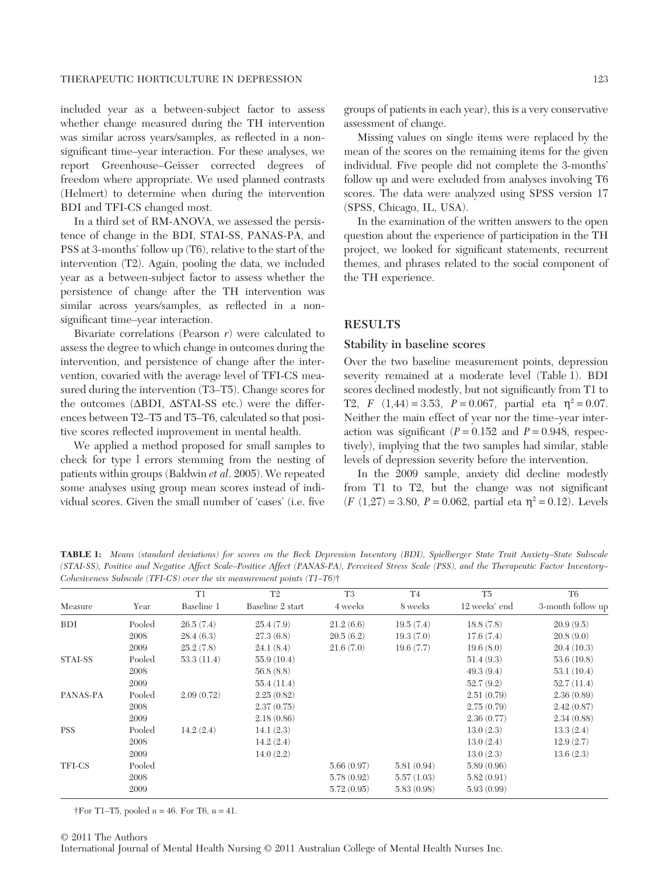included year as a between-subject factor to assess whether change measured during the TH intervention was similar across years/samples, as reflected in a nonsignificant time–year interaction. For these analyses, we report Greenhouse–Geisser corrected degrees of freedom where appropriate. We used planned contrasts (Helmert) to determine when during the intervention BDI and TFI-CS changed most.

In a third set of RM-ANOVA, we assessed the persistence of change in the BDI, STAI-SS, PANAS-PA, and PSS at 3-months' follow up (T6), relative to the start of the intervention (T2). Again, pooling the data, we included year as a between-subject factor to assess whether the persistence of change after the TH intervention was similar across years/samples, as reflected in a nonsignificant time–year interaction.

Bivariate correlations (Pearson *r*) were calculated to assess the degree to which change in outcomes during the intervention, and persistence of change after the intervention, covaried with the average level of TFI-CS measured during the intervention (T3–T5). Change scores for the outcomes  $(\Delta BDI, \Delta STAI-SS$  etc.) were the differences between T2–T5 and T5–T6, calculated so that positive scores reflected improvement in mental health.

We applied a method proposed for small samples to check for type l errors stemming from the nesting of patients within groups (Baldwin *et al*. 2005). We repeated some analyses using group mean scores instead of individual scores. Given the small number of 'cases' (i.e. five

groups of patients in each year), this is a very conservative assessment of change.

Missing values on single items were replaced by the mean of the scores on the remaining items for the given individual. Five people did not complete the 3-months' follow up and were excluded from analyses involving T6 scores. The data were analyzed using SPSS version 17 (SPSS, Chicago, IL, USA).

In the examination of the written answers to the open question about the experience of participation in the TH project, we looked for significant statements, recurrent themes, and phrases related to the social component of the TH experience.

#### **RESULTS**

#### **Stability in baseline scores**

Over the two baseline measurement points, depression severity remained at a moderate level (Table 1). BDI scores declined modestly, but not significantly from T1 to T2, *F*  $(1,44) = 3.53$ , *P* = 0.067, partial eta  $\eta^2 = 0.07$ . Neither the main effect of year nor the time–year interaction was significant  $(P = 0.152$  and  $P = 0.948$ , respectively), implying that the two samples had similar, stable levels of depression severity before the intervention.

In the 2009 sample, anxiety did decline modestly from T1 to T2, but the change was not significant  $(F (1,27) = 3.80, P = 0.062,$  partial eta  $\eta^2 = 0.12$ ). Levels

**TABLE 1:** *Means (standard deviations) for scores on the Beck Depression Inventory (BDI), Spielberger State Trait Anxiety–State Subscale (STAI-SS), Positive and Negative Affect Scale–Positive Affect (PANAS-PA), Perceived Stress Scale (PSS), and the Therapeutic Factor Inventory– Cohesiveness Subscale (TFI-CS) over the six measurement points (T1–T6)*†

|            |        | T1         | T2               | T <sub>3</sub> | T <sub>4</sub> | T <sub>5</sub> | T <sub>6</sub>    |
|------------|--------|------------|------------------|----------------|----------------|----------------|-------------------|
| Measure    | Year   | Baseline 1 | Baseline 2 start | 4 weeks        | 8 weeks        | 12 weeks' end  | 3-month follow up |
| <b>BDI</b> | Pooled | 26.5(7.4)  | 25.4(7.9)        | 21.2(6.6)      | 19.5(7.4)      | 18.8(7.8)      | 20.9(9.5)         |
|            | 2008   | 28.4(6.3)  | 27.3(6.8)        | 20.5(6.2)      | 19.3(7.0)      | 17.6(7.4)      | 20.8(9.0)         |
|            | 2009   | 25.2(7.8)  | 24.1(8.4)        | 21.6(7.0)      | 19.6(7.7)      | 19.6(8.0)      | 20.4(10.3)        |
| STAI-SS    | Pooled | 53.3(11.4) | 55.9(10.4)       |                |                | 51.4(9.3)      | 53.6(10.8)        |
|            | 2008   |            | 56.8(8.8)        |                |                | 49.3(9.4)      | 53.1(10.4)        |
|            | 2009   |            | 55.4(11.4)       |                |                | 52.7(9.2)      | 52.7(11.4)        |
| PANAS-PA   | Pooled | 2.09(0.72) | 2.25(0.82)       |                |                | 2.51(0.79)     | 2.36(0.89)        |
|            | 2008   |            | 2.37(0.75)       |                |                | 2.75(0.79)     | 2.42(0.87)        |
|            | 2009   |            | 2.18(0.86)       |                |                | 2.36(0.77)     | 2.34(0.88)        |
| <b>PSS</b> | Pooled | 14.2(2.4)  | 14.1(2.3)        |                |                | 13.0(2.3)      | 13.3(2.4)         |
|            | 2008   |            | 14.2(2.4)        |                |                | 13.0(2.4)      | 12.9(2.7)         |
|            | 2009   |            | 14.0(2.2)        |                |                | 13.0(2.3)      | 13.6(2.3)         |
| TFI-CS     | Pooled |            |                  | 5.66(0.97)     | 5.81(0.94)     | 5.89(0.96)     |                   |
|            | 2008   |            |                  | 5.78(0.92)     | 5.57(1.03)     | 5.82(0.91)     |                   |
|            | 2009   |            |                  | 5.72(0.95)     | 5.83(0.98)     | 5.93(0.99)     |                   |

†For T1–T5, pooled *n* = 46. For T6, *n* = 41.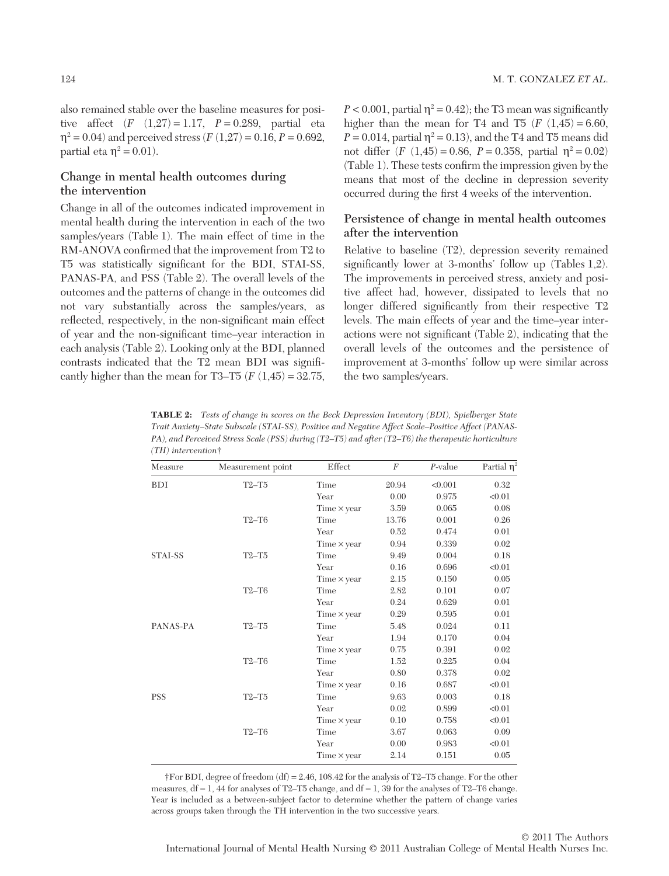also remained stable over the baseline measures for positive affect  $(F (1,27) = 1.17, P = 0.289,$  partial eta  $\eta^2 = 0.04$ ) and perceived stress (*F* (1,27) = 0.16, *P* = 0.692, partial eta  $\eta^2$  = 0.01).

## **Change in mental health outcomes during the intervention**

Change in all of the outcomes indicated improvement in mental health during the intervention in each of the two samples/years (Table 1). The main effect of time in the RM-ANOVA confirmed that the improvement from T2 to T5 was statistically significant for the BDI, STAI-SS, PANAS-PA, and PSS (Table 2). The overall levels of the outcomes and the patterns of change in the outcomes did not vary substantially across the samples/years, as reflected, respectively, in the non-significant main effect of year and the non-significant time–year interaction in each analysis (Table 2). Looking only at the BDI, planned contrasts indicated that the T2 mean BDI was significantly higher than the mean for T3–T5 ( $F(1,45) = 32.75$ ,

 $P < 0.001$ , partial  $\eta^2 = 0.42$ ); the T3 mean was significantly higher than the mean for T4 and T5  $(F (1,45) = 6.60,$  $P = 0.014$ , partial  $\eta^2 = 0.13$ ), and the T4 and T5 means did not differ  $(F (1,45) = 0.86, P = 0.358, partial \eta^2 = 0.02)$ (Table 1). These tests confirm the impression given by the means that most of the decline in depression severity occurred during the first 4 weeks of the intervention.

## **Persistence of change in mental health outcomes after the intervention**

Relative to baseline (T2), depression severity remained significantly lower at 3-months' follow up (Tables 1,2). The improvements in perceived stress, anxiety and positive affect had, however, dissipated to levels that no longer differed significantly from their respective T2 levels. The main effects of year and the time–year interactions were not significant (Table 2), indicating that the overall levels of the outcomes and the persistence of improvement at 3-months' follow up were similar across the two samples/years.

**TABLE 2:** *Tests of change in scores on the Beck Depression Inventory (BDI), Spielberger State Trait Anxiety–State Subscale (STAI-SS), Positive and Negative Affect Scale–Positive Affect (PANAS-PA), and Perceived Stress Scale (PSS) during (T2–T5) and after (T2–T6) the therapeutic horticulture (TH) intervention*†

| Measure    | Measurement point | Effect             | F     | $P$ -value | Partial $\eta^2$ |
|------------|-------------------|--------------------|-------|------------|------------------|
| <b>BDI</b> | $T2-T5$           | Time               | 20.94 | < 0.001    | 0.32             |
|            |                   | Year               | 0.00  | 0.975      | < 0.01           |
|            |                   | Time $\times$ year | 3.59  | 0.065      | 0.08             |
|            | $T2-T6$           | Time               | 13.76 | 0.001      | 0.26             |
|            |                   | Year               | 0.52  | 0.474      | 0.01             |
|            |                   | Time $\times$ year | 0.94  | 0.339      | 0.02             |
| STAI-SS    | $T2-T5$           | Time               | 9.49  | 0.004      | 0.18             |
|            |                   | Year               | 0.16  | 0.696      | < 0.01           |
|            |                   | Time × year        | 2.15  | 0.150      | 0.05             |
|            | $T2-T6$           | Time               | 2.82  | 0.101      | 0.07             |
|            |                   | Year               | 0.24  | 0.629      | 0.01             |
|            |                   | $Time \times year$ | 0.29  | 0.595      | 0.01             |
| PANAS-PA   | $T2-T5$           | Time               | 5.48  | 0.024      | 0.11             |
|            |                   | Year               | 1.94  | 0.170      | 0.04             |
|            |                   | Time $\times$ year | 0.75  | 0.391      | 0.02             |
|            | $T2-T6$           | Time               | 1.52  | 0.225      | 0.04             |
|            |                   | Year               | 0.80  | 0.378      | 0.02             |
|            |                   | $Time \times year$ | 0.16  | 0.687      | < 0.01           |
| <b>PSS</b> | $T2-T5$           | Time               | 9.63  | 0.003      | 0.18             |
|            |                   | Year               | 0.02  | 0.899      | < 0.01           |
|            |                   | Time × year        | 0.10  | 0.758      | < 0.01           |
|            | $T2-T6$           | Time               | 3.67  | 0.063      | 0.09             |
|            |                   | Year               | 0.00  | 0.983      | < 0.01           |
|            |                   | $Time \times year$ | 2.14  | 0.151      | 0.05             |

†For BDI, degree of freedom (df) = 2.46, 108.42 for the analysis of T2–T5 change. For the other measures,  $df = 1$ , 44 for analyses of T2–T5 change, and  $df = 1$ , 39 for the analyses of T2–T6 change. Year is included as a between-subject factor to determine whether the pattern of change varies across groups taken through the TH intervention in the two successive years.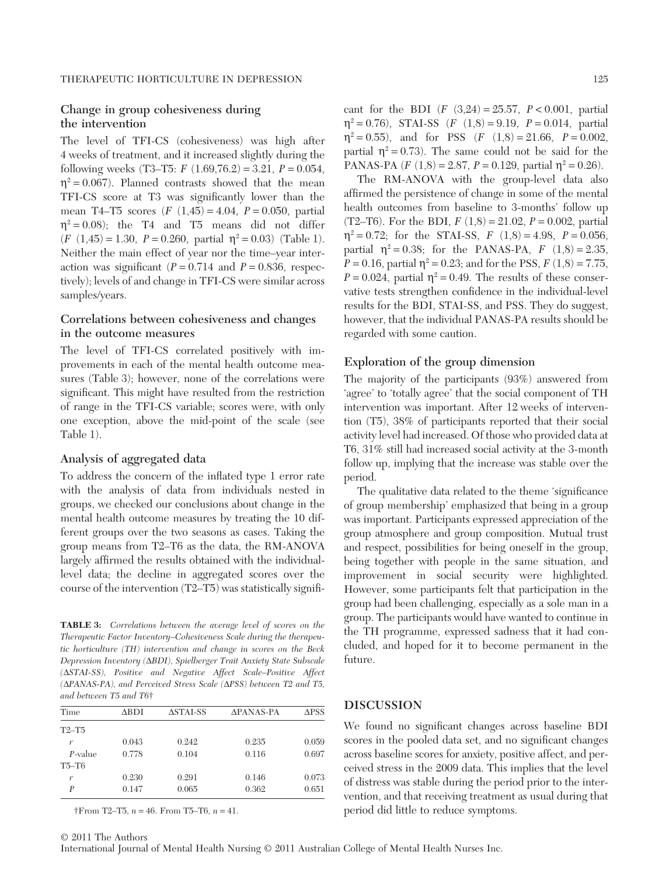## **Change in group cohesiveness during the intervention**

The level of TFI-CS (cohesiveness) was high after 4 weeks of treatment, and it increased slightly during the following weeks (T3–T5: *F*  $(1.69, 76.2) = 3.21, P = 0.054,$  $\eta^2$  = 0.067). Planned contrasts showed that the mean TFI-CS score at T3 was significantly lower than the mean T4–T5 scores (*F* (1,45) = 4.04, *P* = 0.050, partial  $\eta^2 = 0.08$ ; the T4 and T5 means did not differ  $(F (1,45) = 1.30, P = 0.260, \text{ partial } \eta^2 = 0.03)$  (Table 1). Neither the main effect of year nor the time–year interaction was significant  $(P = 0.714$  and  $P = 0.836$ , respectively); levels of and change in TFI-CS were similar across samples/years.

### **Correlations between cohesiveness and changes in the outcome measures**

The level of TFI-CS correlated positively with improvements in each of the mental health outcome measures (Table 3); however, none of the correlations were significant. This might have resulted from the restriction of range in the TFI-CS variable; scores were, with only one exception, above the mid-point of the scale (see Table 1).

#### **Analysis of aggregated data**

To address the concern of the inflated type 1 error rate with the analysis of data from individuals nested in groups, we checked our conclusions about change in the mental health outcome measures by treating the 10 different groups over the two seasons as cases. Taking the group means from T2–T6 as the data, the RM-ANOVA largely affirmed the results obtained with the individuallevel data; the decline in aggregated scores over the course of the intervention (T2–T5) was statistically signifi-

**TABLE 3:** *Correlations between the average level of scores on the Therapeutic Factor Inventory–Cohesiveness Scale during the therapeutic horticulture (TH) intervention and change in scores on the Beck Depression Inventory (*D*BDI), Spielberger Trait Anxiety State Subscale (*D*STAI-SS), Positive and Negative Affect Scale–Positive Affect (*D*PANAS-PA), and Perceived Stress Scale (*D*PSS) between T2 and T5, and between T5 and T6*†

| Time       | <b>ABDI</b> | $\Delta$ STAI-SS | ΔPANAS-PA | $\triangle PSS$ |  |
|------------|-------------|------------------|-----------|-----------------|--|
| $T2-T5$    |             |                  |           |                 |  |
| r          | 0.043       | 0.242            | 0.235     | 0.059           |  |
| $P$ -value | 0.778       | 0.104            | 0.116     | 0.697           |  |
| T5-T6      |             |                  |           |                 |  |
| r          | 0.230       | 0.291            | 0.146     | 0.073           |  |
| P          | 0.147       | 0.065            | 0.362     | 0.651           |  |

†From T2–T5, *n* = 46. From T5–T6, *n* = 41.

cant for the BDI  $(F (3,24) = 25.57, P < 0.001,$  partial  $\eta^2 = 0.76$ ), STAI-SS (*F* (1,8) = 9.19, *P* = 0.014, partial  $\eta^2 = 0.55$ ), and for PSS (*F* (1,8) = 21.66, *P* = 0.002, partial  $\eta^2 = 0.73$ ). The same could not be said for the PANAS-PA  $(F (1,8) = 2.87, P = 0.129,$  partial  $\eta^2 = 0.26$ ).

The RM-ANOVA with the group-level data also affirmed the persistence of change in some of the mental health outcomes from baseline to 3-months' follow up (T2–T6). For the BDI,  $F(1,8) = 21.02$ ,  $P = 0.002$ , partial  $\eta^2 = 0.72$ ; for the STAI-SS, *F* (1,8) = 4.98, *P* = 0.056, partial  $\eta^2 = 0.38$ ; for the PANAS-PA, *F*  $(1,8) = 2.35$ ,  $P = 0.16$ , partial  $\eta^2 = 0.23$ ; and for the PSS,  $F(1,8) = 7.75$ ,  $P = 0.024$ , partial  $\eta^2 = 0.49$ . The results of these conservative tests strengthen confidence in the individual-level results for the BDI, STAI-SS, and PSS. They do suggest, however, that the individual PANAS-PA results should be regarded with some caution.

#### **Exploration of the group dimension**

The majority of the participants (93%) answered from 'agree' to 'totally agree' that the social component of TH intervention was important. After 12 weeks of intervention (T5), 38% of participants reported that their social activity level had increased. Of those who provided data at T6, 31% still had increased social activity at the 3-month follow up, implying that the increase was stable over the period.

The qualitative data related to the theme 'significance of group membership' emphasized that being in a group was important. Participants expressed appreciation of the group atmosphere and group composition. Mutual trust and respect, possibilities for being oneself in the group, being together with people in the same situation, and improvement in social security were highlighted. However, some participants felt that participation in the group had been challenging, especially as a sole man in a group. The participants would have wanted to continue in the TH programme, expressed sadness that it had concluded, and hoped for it to become permanent in the future.

#### **DISCUSSION**

We found no significant changes across baseline BDI scores in the pooled data set, and no significant changes across baseline scores for anxiety, positive affect, and perceived stress in the 2009 data. This implies that the level of distress was stable during the period prior to the intervention, and that receiving treatment as usual during that period did little to reduce symptoms.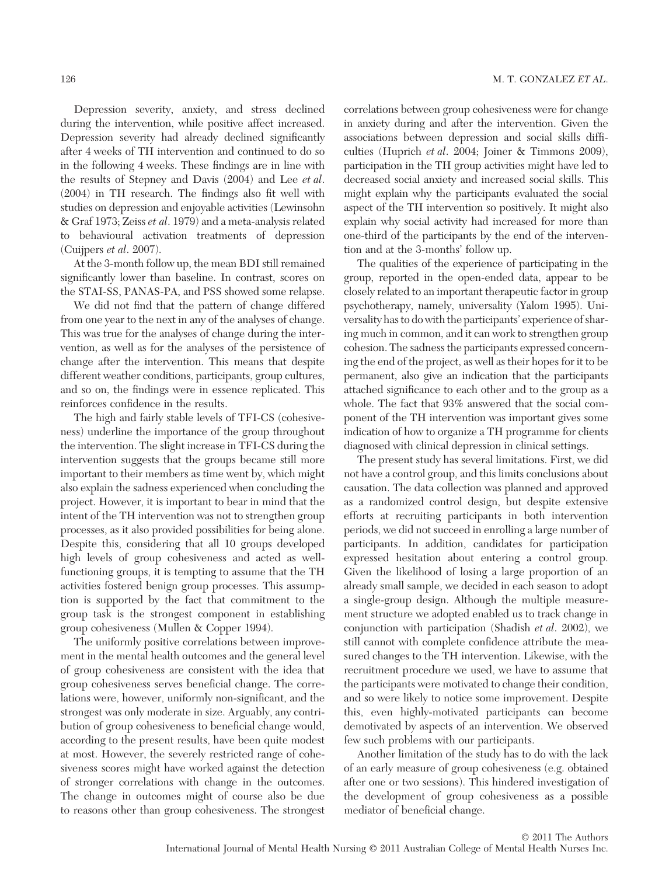Depression severity, anxiety, and stress declined during the intervention, while positive affect increased. Depression severity had already declined significantly after 4 weeks of TH intervention and continued to do so in the following 4 weeks. These findings are in line with the results of Stepney and Davis (2004) and Lee *et al*. (2004) in TH research. The findings also fit well with studies on depression and enjoyable activities (Lewinsohn & Graf 1973; Zeiss *et al*. 1979) and a meta-analysis related to behavioural activation treatments of depression (Cuijpers *et al*. 2007).

At the 3-month follow up, the mean BDI still remained significantly lower than baseline. In contrast, scores on the STAI-SS, PANAS-PA, and PSS showed some relapse.

We did not find that the pattern of change differed from one year to the next in any of the analyses of change. This was true for the analyses of change during the intervention, as well as for the analyses of the persistence of change after the intervention. This means that despite different weather conditions, participants, group cultures, and so on, the findings were in essence replicated. This reinforces confidence in the results.

The high and fairly stable levels of TFI-CS (cohesiveness) underline the importance of the group throughout the intervention. The slight increase in TFI-CS during the intervention suggests that the groups became still more important to their members as time went by, which might also explain the sadness experienced when concluding the project. However, it is important to bear in mind that the intent of the TH intervention was not to strengthen group processes, as it also provided possibilities for being alone. Despite this, considering that all 10 groups developed high levels of group cohesiveness and acted as wellfunctioning groups, it is tempting to assume that the TH activities fostered benign group processes. This assumption is supported by the fact that commitment to the group task is the strongest component in establishing group cohesiveness (Mullen & Copper 1994).

The uniformly positive correlations between improvement in the mental health outcomes and the general level of group cohesiveness are consistent with the idea that group cohesiveness serves beneficial change. The correlations were, however, uniformly non-significant, and the strongest was only moderate in size. Arguably, any contribution of group cohesiveness to beneficial change would, according to the present results, have been quite modest at most. However, the severely restricted range of cohesiveness scores might have worked against the detection of stronger correlations with change in the outcomes. The change in outcomes might of course also be due to reasons other than group cohesiveness. The strongest

126 M. T. GONZALEZ *ET AL*.

correlations between group cohesiveness were for change in anxiety during and after the intervention. Given the associations between depression and social skills difficulties (Huprich *et al*. 2004; Joiner & Timmons 2009), participation in the TH group activities might have led to decreased social anxiety and increased social skills. This might explain why the participants evaluated the social aspect of the TH intervention so positively. It might also explain why social activity had increased for more than one-third of the participants by the end of the intervention and at the 3-months' follow up.

The qualities of the experience of participating in the group, reported in the open-ended data, appear to be closely related to an important therapeutic factor in group psychotherapy, namely, universality (Yalom 1995). Universality has to do with the participants' experience of sharing much in common, and it can work to strengthen group cohesion. The sadness the participants expressed concerning the end of the project, as well as their hopes for it to be permanent, also give an indication that the participants attached significance to each other and to the group as a whole. The fact that 93% answered that the social component of the TH intervention was important gives some indication of how to organize a TH programme for clients diagnosed with clinical depression in clinical settings.

The present study has several limitations. First, we did not have a control group, and this limits conclusions about causation. The data collection was planned and approved as a randomized control design, but despite extensive efforts at recruiting participants in both intervention periods, we did not succeed in enrolling a large number of participants. In addition, candidates for participation expressed hesitation about entering a control group. Given the likelihood of losing a large proportion of an already small sample, we decided in each season to adopt a single-group design. Although the multiple measurement structure we adopted enabled us to track change in conjunction with participation (Shadish *et al*. 2002), we still cannot with complete confidence attribute the measured changes to the TH intervention. Likewise, with the recruitment procedure we used, we have to assume that the participants were motivated to change their condition, and so were likely to notice some improvement. Despite this, even highly-motivated participants can become demotivated by aspects of an intervention. We observed few such problems with our participants.

Another limitation of the study has to do with the lack of an early measure of group cohesiveness (e.g. obtained after one or two sessions). This hindered investigation of the development of group cohesiveness as a possible mediator of beneficial change.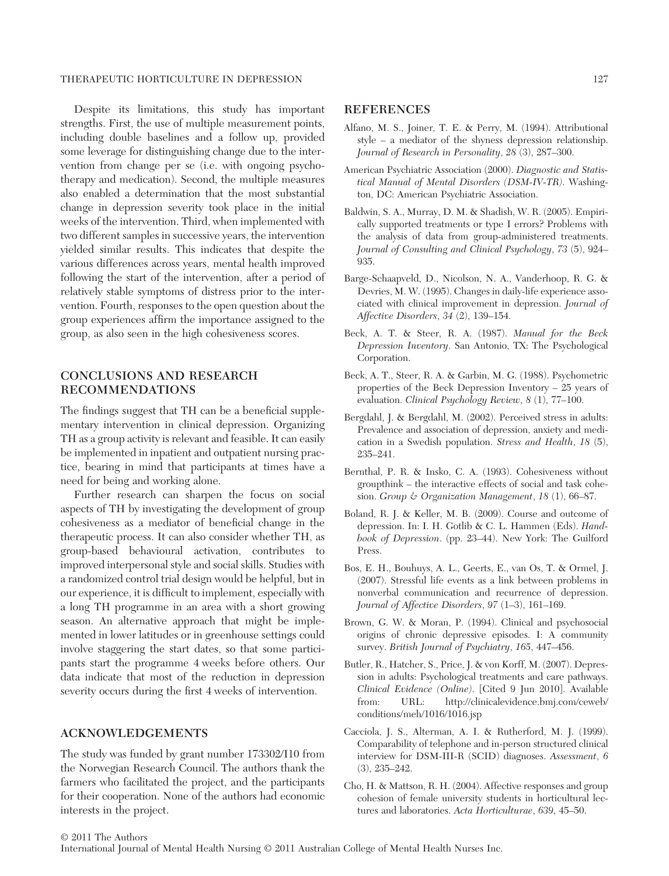#### THERAPEUTIC HORTICULTURE IN DEPRESSION 127

Despite its limitations, this study has important strengths. First, the use of multiple measurement points, including double baselines and a follow up, provided some leverage for distinguishing change due to the intervention from change per se (i.e. with ongoing psychotherapy and medication). Second, the multiple measures also enabled a determination that the most substantial change in depression severity took place in the initial weeks of the intervention. Third, when implemented with two different samples in successive years, the intervention yielded similar results. This indicates that despite the various differences across years, mental health improved following the start of the intervention, after a period of relatively stable symptoms of distress prior to the intervention. Fourth, responses to the open question about the group experiences affirm the importance assigned to the group, as also seen in the high cohesiveness scores.

## **CONCLUSIONS AND RESEARCH RECOMMENDATIONS**

The findings suggest that TH can be a beneficial supplementary intervention in clinical depression. Organizing TH as a group activity is relevant and feasible. It can easily be implemented in inpatient and outpatient nursing practice, bearing in mind that participants at times have a need for being and working alone.

Further research can sharpen the focus on social aspects of TH by investigating the development of group cohesiveness as a mediator of beneficial change in the therapeutic process. It can also consider whether TH, as group-based behavioural activation, contributes to improved interpersonal style and social skills. Studies with a randomized control trial design would be helpful, but in our experience, it is difficult to implement, especially with a long TH programme in an area with a short growing season. An alternative approach that might be implemented in lower latitudes or in greenhouse settings could involve staggering the start dates, so that some participants start the programme 4 weeks before others. Our data indicate that most of the reduction in depression severity occurs during the first 4 weeks of intervention.

## **ACKNOWLEDGEMENTS**

The study was funded by grant number 173302/I10 from the Norwegian Research Council. The authors thank the farmers who facilitated the project, and the participants for their cooperation. None of the authors had economic interests in the project.

### **REFERENCES**

- Alfano, M. S., Joiner, T. E. & Perry, M. (1994). Attributional style–amediator of the shyness depression relationship. *Journal of Research in Personality*, *28* (3), 287–300.
- American Psychiatric Association (2000). *Diagnostic and Statistical Manual of Mental Disorders (DSM-IV-TR)*. Washington, DC: American Psychiatric Association.
- Baldwin, S. A., Murray, D. M. & Shadish, W. R. (2005). Empirically supported treatments or type I errors? Problems with the analysis of data from group-administered treatments. *Journal of Consulting and Clinical Psychology*, *73* (5), 924– 935.
- Barge-Schaapveld, D., Nicolson, N. A., Vanderhoop, R. G. & Devries, M. W. (1995). Changes in daily-life experience associated with clinical improvement in depression. *Journal of Affective Disorders*, *34* (2), 139–154.
- Beck, A. T. & Steer, R. A. (1987). *Manual for the Beck Depression Inventory*. San Antonio, TX: The Psychological Corporation.
- Beck, A. T., Steer, R. A. & Garbin, M. G. (1988). Psychometric properties of the Beck Depression Inventory – 25 years of evaluation. *Clinical Psychology Review*, *8* (1), 77–100.
- Bergdahl, J. & Bergdahl, M. (2002). Perceived stress in adults: Prevalence and association of depression, anxiety and medication in a Swedish population. *Stress and Health*, *18* (5), 235–241.
- Bernthal, P. R. & Insko, C. A. (1993). Cohesiveness without groupthink – the interactive effects of social and task cohesion. *Group & Organization Management*, *18* (1), 66–87.
- Boland, R. J. & Keller, M. B. (2009). Course and outcome of depression. In: I. H. Gotlib & C. L. Hammen (Eds). *Handbook of Depression*. (pp. 23–44). New York: The Guilford Press.
- Bos, E. H., Bouhuys, A. L., Geerts, E., van Os, T. & Ormel, J. (2007). Stressful life events as a link between problems in nonverbal communication and recurrence of depression. *Journal of Affective Disorders*, *97* (1–3), 161–169.
- Brown, G. W. & Moran, P. (1994). Clinical and psychosocial origins of chronic depressive episodes. I: A community survey. *British Journal of Psychiatry*, *165*, 447–456.
- Butler, R., Hatcher, S., Price, J. & von Korff, M. (2007). Depression in adults: Psychological treatments and care pathways. *Clinical Evidence (Online)*. [Cited 9 Jun 2010]. Available from: URL: http://clinicalevidence.bmj.com/ceweb/ conditions/meh/1016/1016.jsp
- Cacciola, J. S., Alterman, A. I. & Rutherford, M. J. (1999). Comparability of telephone and in-person structured clinical interview for DSM-III-R (SCID) diagnoses. *Assessment*, *6* (3), 235–242.
- Cho, H. & Mattson, R. H. (2004). Affective responses and group cohesion of female university students in horticultural lectures and laboratories. *Acta Horticulturae*, *639*, 45–50.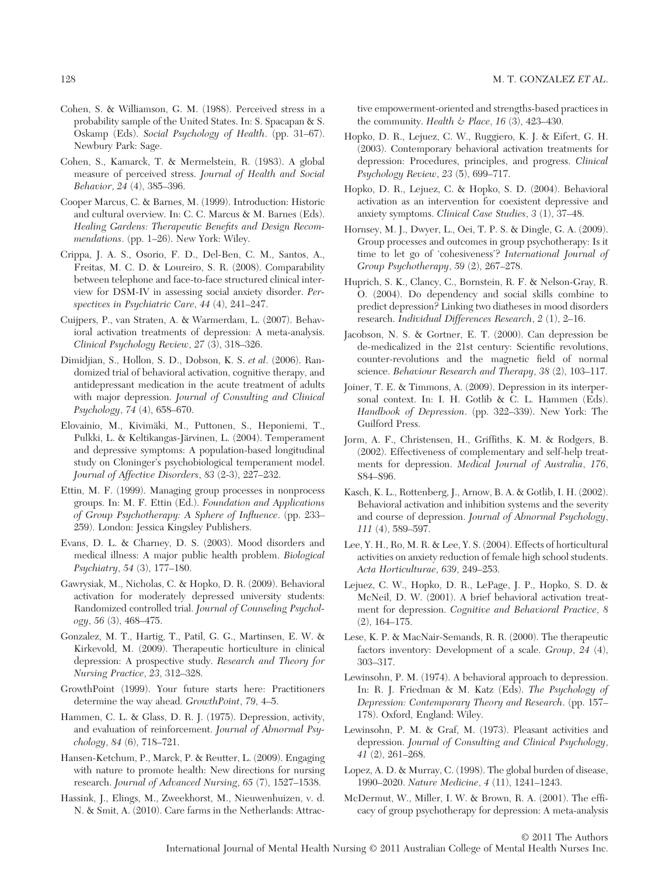- Cohen, S. & Williamson, G. M. (1988). Perceived stress in a probability sample of the United States. In: S. Spacapan & S. Oskamp (Eds). *Social Psychology of Health*. (pp. 31–67). Newbury Park: Sage.
- Cohen, S., Kamarck, T. & Mermelstein, R. (1983). A global measure of perceived stress. *Journal of Health and Social Behavior*, *24* (4), 385–396.
- Cooper Marcus, C. & Barnes, M. (1999). Introduction: Historic and cultural overview. In: C. C. Marcus & M. Barnes (Eds). *Healing Gardens: Therapeutic Benefits and Design Recommendations*. (pp. 1–26). New York: Wiley.
- Crippa, J. A. S., Osorio, F. D., Del-Ben, C. M., Santos, A., Freitas, M. C. D. & Loureiro, S. R. (2008). Comparability between telephone and face-to-face structured clinical interview for DSM-IV in assessing social anxiety disorder. *Perspectives in Psychiatric Care*, *44* (4), 241–247.
- Cuijpers, P., van Straten, A. & Warmerdam, L. (2007). Behavioral activation treatments of depression: A meta-analysis. *Clinical Psychology Review*, *27* (3), 318–326.
- Dimidjian, S., Hollon, S. D., Dobson, K. S. *et al*. (2006). Randomized trial of behavioral activation, cognitive therapy, and antidepressant medication in the acute treatment of adults with major depression. *Journal of Consulting and Clinical Psychology*, *74* (4), 658–670.
- Elovainio, M., Kivimäki, M., Puttonen, S., Heponiemi, T., Pulkki, L. & Keltikangas-Järvinen, L. (2004). Temperament and depressive symptoms: A population-based longitudinal study on Cloninger's psychobiological temperament model. *Journal of Affective Disorders*, *83* (2-3), 227–232.
- Ettin, M. F. (1999). Managing group processes in nonprocess groups. In: M. F. Ettin (Ed.). *Foundation and Applications of Group Psychotherapy: A Sphere of Influence*. (pp. 233– 259). London: Jessica Kingsley Publishers.
- Evans, D. L. & Charney, D. S. (2003). Mood disorders and medical illness: A major public health problem. *Biological Psychiatry*, *54* (3), 177–180.
- Gawrysiak, M., Nicholas, C. & Hopko, D. R. (2009). Behavioral activation for moderately depressed university students: Randomized controlled trial. *Journal of Counseling Psychology*, *56* (3), 468–475.
- Gonzalez, M. T., Hartig, T., Patil, G. G., Martinsen, E. W. & Kirkevold, M. (2009). Therapeutic horticulture in clinical depression: A prospective study. *Research and Theory for Nursing Practice*, *23*, 312–328.
- GrowthPoint (1999). Your future starts here: Practitioners determine the way ahead. *GrowthPoint*, *79*, 4–5.
- Hammen, C. L. & Glass, D. R. J. (1975). Depression, activity, and evaluation of reinforcement. *Journal of Abnormal Psychology*, *84* (6), 718–721.
- Hansen-Ketchum, P., Marck, P. & Reutter, L. (2009). Engaging with nature to promote health: New directions for nursing research. *Journal of Advanced Nursing*, *65* (7), 1527–1538.
- Hassink, J., Elings, M., Zweekhorst, M., Nieuwenhuizen, v. d. N. & Smit, A. (2010). Care farms in the Netherlands: Attrac-

tive empowerment-oriented and strengths-based practices in the community. *Health & Place*, *16* (3), 423–430.

- Hopko, D. R., Lejuez, C. W., Ruggiero, K. J. & Eifert, G. H. (2003). Contemporary behavioral activation treatments for depression: Procedures, principles, and progress. *Clinical Psychology Review*, *23* (5), 699–717.
- Hopko, D. R., Lejuez, C. & Hopko, S. D. (2004). Behavioral activation as an intervention for coexistent depressive and anxiety symptoms. *Clinical Case Studies*, *3* (1), 37–48.
- Hornsey, M. J., Dwyer, L., Oei, T. P. S. & Dingle, G. A. (2009). Group processes and outcomes in group psychotherapy: Is it time to let go of 'cohesiveness'? *International Journal of Group Psychotherapy*, *59* (2), 267–278.
- Huprich, S. K., Clancy, C., Bornstein, R. F. & Nelson-Gray, R. O. (2004). Do dependency and social skills combine to predict depression? Linking two diatheses in mood disorders research. *Individual Differences Research*, *2* (1), 2–16.
- Jacobson, N. S. & Gortner, E. T. (2000). Can depression be de-medicalized in the 21st century: Scientific revolutions, counter-revolutions and the magnetic field of normal science. *Behaviour Research and Therapy*, *38* (2), 103–117.
- Joiner, T. E. & Timmons, A. (2009). Depression in its interpersonal context. In: I. H. Gotlib & C. L. Hammen (Eds). *Handbook of Depression*. (pp. 322–339). New York: The Guilford Press.
- Jorm, A. F., Christensen, H., Griffiths, K. M. & Rodgers, B. (2002). Effectiveness of complementary and self-help treatments for depression. *Medical Journal of Australia*, *176*, S84–S96.
- Kasch, K. L., Rottenberg, J., Arnow, B. A. & Gotlib, I. H. (2002). Behavioral activation and inhibition systems and the severity and course of depression. *Journal of Abnormal Psychology*, *111* (4), 589–597.
- Lee, Y. H., Ro, M. R. & Lee, Y. S. (2004). Effects of horticultural activities on anxiety reduction of female high school students. *Acta Horticulturae*, *639*, 249–253.
- Lejuez, C. W., Hopko, D. R., LePage, J. P., Hopko, S. D. & McNeil, D. W. (2001). A brief behavioral activation treatment for depression. *Cognitive and Behavioral Practice*, *8* (2), 164–175.
- Lese, K. P. & MacNair-Semands, R. R. (2000). The therapeutic factors inventory: Development of a scale. *Group*, *24* (4), 303–317.
- Lewinsohn, P. M. (1974). A behavioral approach to depression. In: R. J. Friedman & M. Katz (Eds). *The Psychology of Depression: Contemporary Theory and Research*. (pp. 157– 178). Oxford, England: Wiley.
- Lewinsohn, P. M. & Graf, M. (1973). Pleasant activities and depression. *Journal of Consulting and Clinical Psychology*, *41* (2), 261–268.
- Lopez, A. D. & Murray, C. (1998). The global burden of disease, 1990–2020. *Nature Medicine*, *4* (11), 1241–1243.
- McDermut, W., Miller, I. W. & Brown, R. A. (2001). The efficacy of group psychotherapy for depression: A meta-analysis